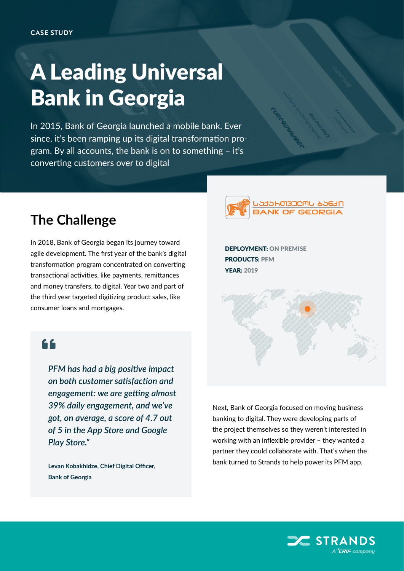## A Leading Universal Bank in Georgia

In 2015, Bank of Georgia launched a mobile bank. Ever since, it's been ramping up its digital transformation program. By all accounts, the bank is on to something – it's converting customers over to digital

## **The Challenge**

In 2018, Bank of Georgia began its journey toward agile development. The first year of the bank's digital transformation program concentrated on converting transactional activities, like payments, remittances and money transfers, to digital. Year two and part of the third year targeted digitizing product sales, like consumer loans and mortgages.

## 66

*PFM has had a big positive impact on both customer satisfaction and engagement: we are getting almost 39% daily engagement, and we've got, on average, a score of 4.7 out of 5 in the App Store and Google Play Store."*

**Levan Kobakhidze, Chief Digital Officer, Bank of Georgia**



DEPLOYMENT: ON PREMISE PRODUCTS: PFM YEAR: 2019

Next, Bank of Georgia focused on moving business banking to digital. They were developing parts of the project themselves so they weren't interested in working with an inflexible provider – they wanted a partner they could collaborate with. That's when the bank turned to Strands to help power its PFM app.